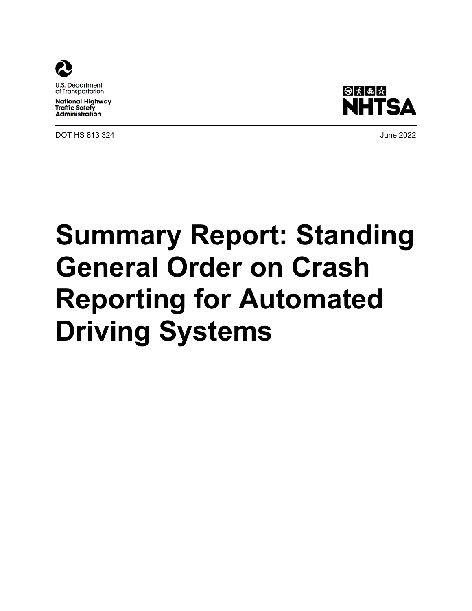

U.S. Department of Transportation

**National Highway Traffic Safety Administration** 

DOT HS 813 324 June 2022



# **Summary Report: Standing General Order on Crash Reporting for Automated Driving Systems**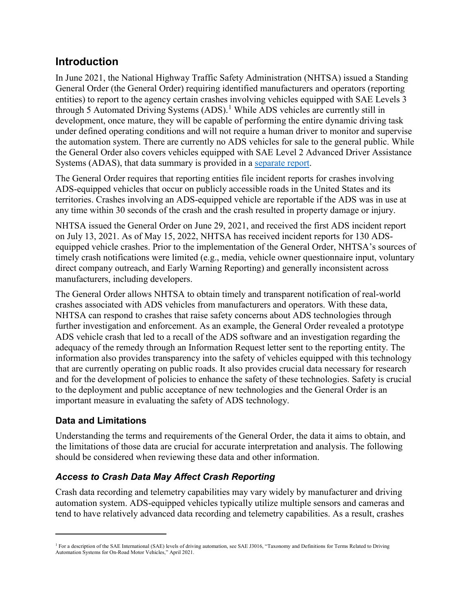# **Introduction**

In June 2021, the National Highway Traffic Safety Administration (NHTSA) issued a Standing General Order (the General Order) requiring identified manufacturers and operators (reporting entities) to report to the agency certain crashes involving vehicles equipped with SAE Levels 3 through 5 Automated Driving Systems  $(ADS)$ .<sup>[1](#page-1-0)</sup> While ADS vehicles are currently still in development, once mature, they will be capable of performing the entire dynamic driving task under defined operating conditions and will not require a human driver to monitor and supervise the automation system. There are currently no ADS vehicles for sale to the general public. While the General Order also covers vehicles equipped with SAE Level 2 Advanced Driver Assistance Systems (ADAS), that data summary is provided in a [separate report.](https://www.nhtsa.gov/document/summary-report-standing-general-order-adas-l2)

The General Order requires that reporting entities file incident reports for crashes involving ADS-equipped vehicles that occur on publicly accessible roads in the United States and its territories. Crashes involving an ADS-equipped vehicle are reportable if the ADS was in use at any time within 30 seconds of the crash and the crash resulted in property damage or injury.

NHTSA issued the General Order on June 29, 2021, and received the first ADS incident report on July 13, 2021. As of May 15, 2022, NHTSA has received incident reports for 130 ADSequipped vehicle crashes. Prior to the implementation of the General Order, NHTSA's sources of timely crash notifications were limited (e.g., media, vehicle owner questionnaire input, voluntary direct company outreach, and Early Warning Reporting) and generally inconsistent across manufacturers, including developers.

The General Order allows NHTSA to obtain timely and transparent notification of real-world crashes associated with ADS vehicles from manufacturers and operators. With these data, NHTSA can respond to crashes that raise safety concerns about ADS technologies through further investigation and enforcement. As an example, the General Order revealed a prototype ADS vehicle crash that led to a recall of the ADS software and an investigation regarding the adequacy of the remedy through an Information Request letter sent to the reporting entity. The information also provides transparency into the safety of vehicles equipped with this technology that are currently operating on public roads. It also provides crucial data necessary for research and for the development of policies to enhance the safety of these technologies. Safety is crucial to the deployment and public acceptance of new technologies and the General Order is an important measure in evaluating the safety of ADS technology.

#### **Data and Limitations**

 $\overline{a}$ 

Understanding the terms and requirements of the General Order, the data it aims to obtain, and the limitations of those data are crucial for accurate interpretation and analysis. The following should be considered when reviewing these data and other information.

## *Access to Crash Data May Affect Crash Reporting*

Crash data recording and telemetry capabilities may vary widely by manufacturer and driving automation system. ADS-equipped vehicles typically utilize multiple sensors and cameras and tend to have relatively advanced data recording and telemetry capabilities. As a result, crashes

<span id="page-1-0"></span><sup>&</sup>lt;sup>1</sup> For a description of the SAE International (SAE) levels of driving automation, see SAE J3016, "Taxonomy and Definitions for Terms Related to Driving Automation Systems for On-Road Motor Vehicles," April 2021.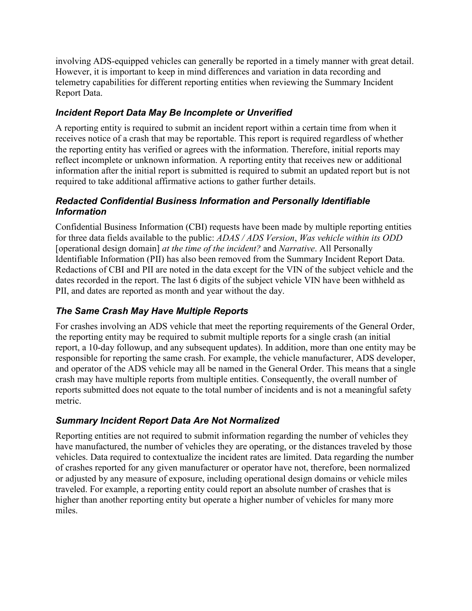involving ADS-equipped vehicles can generally be reported in a timely manner with great detail. However, it is important to keep in mind differences and variation in data recording and telemetry capabilities for different reporting entities when reviewing the Summary Incident Report Data.

## *Incident Report Data May Be Incomplete or Unverified*

A reporting entity is required to submit an incident report within a certain time from when it receives notice of a crash that may be reportable. This report is required regardless of whether the reporting entity has verified or agrees with the information. Therefore, initial reports may reflect incomplete or unknown information. A reporting entity that receives new or additional information after the initial report is submitted is required to submit an updated report but is not required to take additional affirmative actions to gather further details.

#### *Redacted Confidential Business Information and Personally Identifiable Information*

Confidential Business Information (CBI) requests have been made by multiple reporting entities for three data fields available to the public: *ADAS / ADS Version*, *Was vehicle within its ODD* [operational design domain] *at the time of the incident?* and *Narrative*. All Personally Identifiable Information (PII) has also been removed from the Summary Incident Report Data. Redactions of CBI and PII are noted in the data except for the VIN of the subject vehicle and the dates recorded in the report. The last 6 digits of the subject vehicle VIN have been withheld as PII, and dates are reported as month and year without the day.

## *The Same Crash May Have Multiple Reports*

For crashes involving an ADS vehicle that meet the reporting requirements of the General Order, the reporting entity may be required to submit multiple reports for a single crash (an initial report, a 10-day followup, and any subsequent updates). In addition, more than one entity may be responsible for reporting the same crash. For example, the vehicle manufacturer, ADS developer, and operator of the ADS vehicle may all be named in the General Order. This means that a single crash may have multiple reports from multiple entities. Consequently, the overall number of reports submitted does not equate to the total number of incidents and is not a meaningful safety metric.

## *Summary Incident Report Data Are Not Normalized*

Reporting entities are not required to submit information regarding the number of vehicles they have manufactured, the number of vehicles they are operating, or the distances traveled by those vehicles. Data required to contextualize the incident rates are limited. Data regarding the number of crashes reported for any given manufacturer or operator have not, therefore, been normalized or adjusted by any measure of exposure, including operational design domains or vehicle miles traveled. For example, a reporting entity could report an absolute number of crashes that is higher than another reporting entity but operate a higher number of vehicles for many more miles.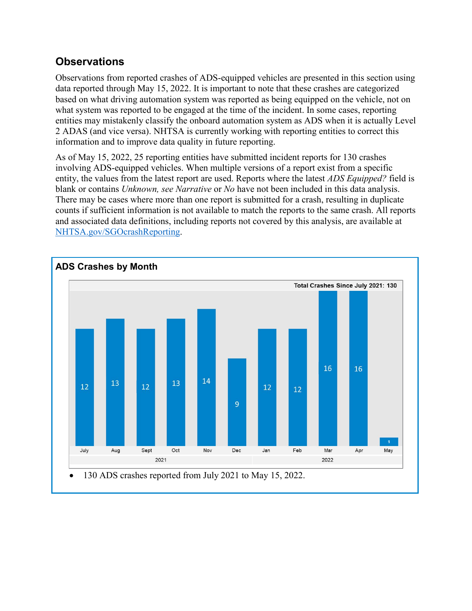# **Observations**

Observations from reported crashes of ADS-equipped vehicles are presented in this section using data reported through May 15, 2022. It is important to note that these crashes are categorized based on what driving automation system was reported as being equipped on the vehicle, not on what system was reported to be engaged at the time of the incident. In some cases, reporting entities may mistakenly classify the onboard automation system as ADS when it is actually Level 2 ADAS (and vice versa). NHTSA is currently working with reporting entities to correct this information and to improve data quality in future reporting.

As of May 15, 2022, 25 reporting entities have submitted incident reports for 130 crashes involving ADS-equipped vehicles. When multiple versions of a report exist from a specific entity, the values from the latest report are used. Reports where the latest *ADS Equipped?* field is blank or contains *Unknown, see Narrative* or *No* have not been included in this data analysis. There may be cases where more than one report is submitted for a crash, resulting in duplicate counts if sufficient information is not available to match the reports to the same crash. All reports and associated data definitions, including reports not covered by this analysis, are available at [NHTSA.gov/SGOcrashReporting.](https://www.nhtsa.gov/SGOcrashReporting)

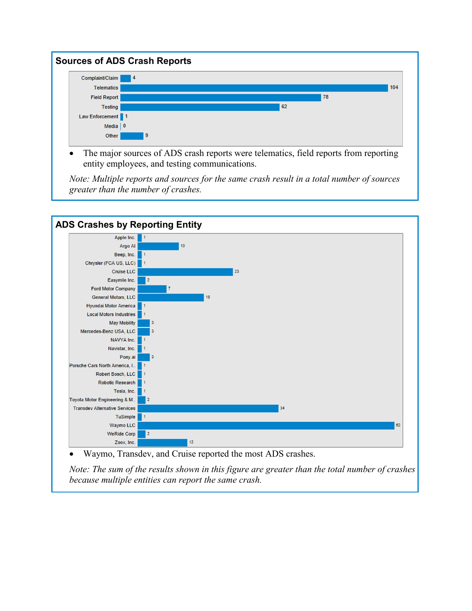

• The major sources of ADS crash reports were telematics, field reports from reporting entity employees, and testing communications.

*Note: Multiple reports and sources for the same crash result in a total number of sources greater than the number of crashes.*



• Waymo, Transdev, and Cruise reported the most ADS crashes.

*Note: The sum of the results shown in this figure are greater than the total number of crashes because multiple entities can report the same crash.*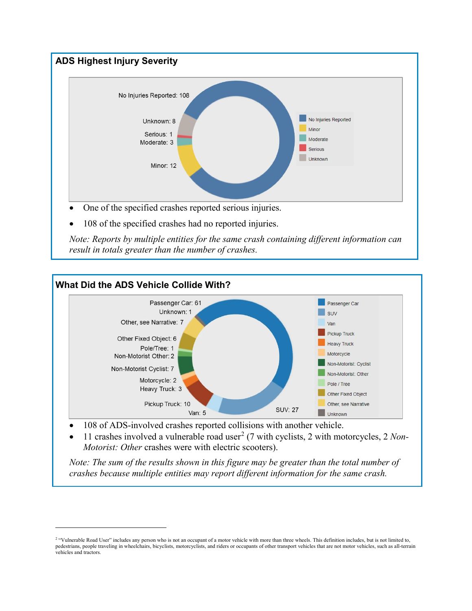

108 of the specified crashes had no reported injuries.

*Note: Reports by multiple entities for the same crash containing different information can result in totals greater than the number of crashes.* 



• 108 of ADS-involved crashes reported collisions with another vehicle.

 $\overline{a}$ 

• 11 crashes involved a vulnerable road user<sup>[2](#page-5-0)</sup> (7 with cyclists, 2 with motorcycles, 2 *Non*-*Motorist: Other* crashes were with electric scooters).

*Note: The sum of the results shown in this figure may be greater than the total number of crashes because multiple entities may report different information for the same crash.* 

<span id="page-5-0"></span><sup>&</sup>lt;sup>2</sup> "Vulnerable Road User" includes any person who is not an occupant of a motor vehicle with more than three wheels. This definition includes, but is not limited to, pedestrians, people traveling in wheelchairs, bicyclists, motorcyclists, and riders or occupants of other transport vehicles that are not motor vehicles, such as all-terrain vehicles and tractors.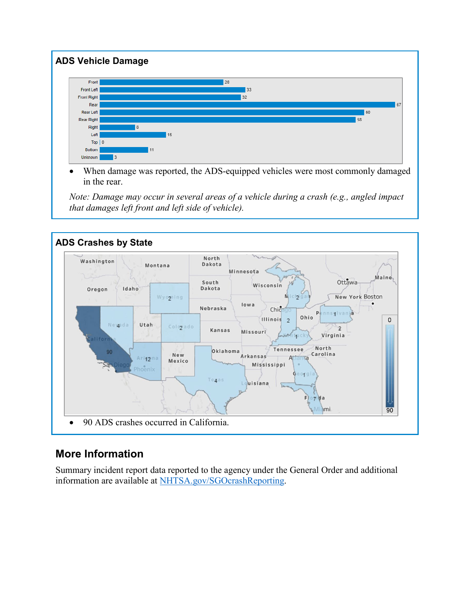

When damage was reported, the ADS-equipped vehicles were most commonly damaged in the rear.

*Note: Damage may occur in several areas of a vehicle during a crash (e.g., angled impact that damages left front and left side of vehicle).*



# **More Information**

Summary incident report data reported to the agency under the General Order and additional information are available at [NHTSA.gov/SGOcrashReporting.](https://www.nhtsa.gov/SGOcrashReporting)